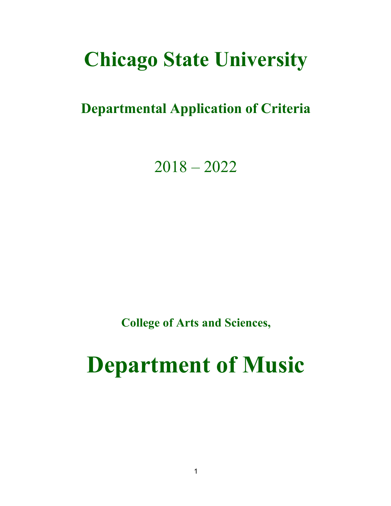# **Chicago State University**

# **Departmental Application of Criteria**

2018 – 2022

**College of Arts and Sciences,**

# **Department of Music**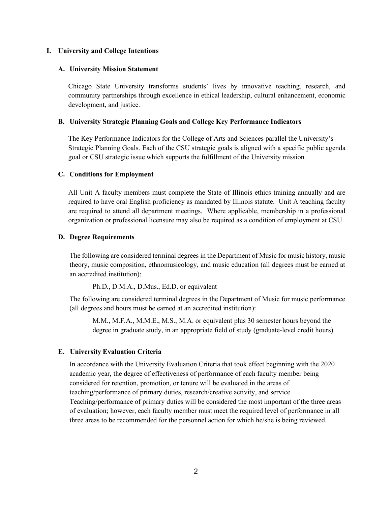#### **I. University and College Intentions**

#### **A. University Mission Statement**

Chicago State University transforms students' lives by innovative teaching, research, and community partnerships through excellence in ethical leadership, cultural enhancement, economic development, and justice.

#### **B. University Strategic Planning Goals and College Key Performance Indicators**

The Key Performance Indicators for the College of Arts and Sciences parallel the University's Strategic Planning Goals. Each of the CSU strategic goals is aligned with a specific public agenda goal or CSU strategic issue which supports the fulfillment of the University mission.

#### **C. Conditions for Employment**

All Unit A faculty members must complete the State of Illinois ethics training annually and are required to have oral English proficiency as mandated by Illinois statute. Unit A teaching faculty are required to attend all department meetings. Where applicable, membership in a professional organization or professional licensure may also be required as a condition of employment at CSU.

#### **D. Degree Requirements**

The following are considered terminal degrees in the Department of Music for music history, music theory, music composition, ethnomusicology, and music education (all degrees must be earned at an accredited institution):

Ph.D., D.M.A., D.Mus., Ed.D. or equivalent

The following are considered terminal degrees in the Department of Music for music performance (all degrees and hours must be earned at an accredited institution):

M.M., M.F.A., M.M.E., M.S., M.A. or equivalent plus 30 semester hours beyond the degree in graduate study, in an appropriate field of study (graduate-level credit hours)

# **E. University Evaluation Criteria**

In accordance with the University Evaluation Criteria that took effect beginning with the 2020 academic year, the degree of effectiveness of performance of each faculty member being considered for retention, promotion, or tenure will be evaluated in the areas of teaching/performance of primary duties, research/creative activity, and service. Teaching/performance of primary duties will be considered the most important of the three areas of evaluation; however, each faculty member must meet the required level of performance in all three areas to be recommended for the personnel action for which he/she is being reviewed.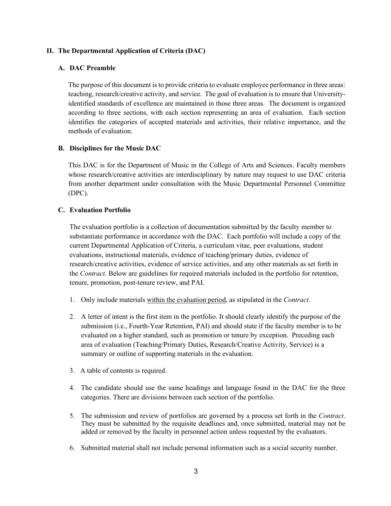#### **II. The Departmental Application of Criteria (DAC)**

#### **A. DAC Preamble**

The purpose of this document is to provide criteria to evaluate employee performance in three areas: teaching, research/creative activity, and service. The goal of evaluation is to ensure that Universityidentified standards of excellence are maintained in those three areas. The document is organized according to three sections, with each section representing an area of evaluation. Each section identifies the categories of accepted materials and activities, their relative importance, and the methods of evaluation.

#### **B. Disciplines for the Music DAC**

This DAC is for the Department of Music in the College of Arts and Sciences. Faculty members whose research/creative activities are interdisciplinary by nature may request to use DAC criteria from another department under consultation with the Music Departmental Personnel Committee (DPC).

#### **C. Evaluation Portfolio**

The evaluation portfolio is a collection of documentation submitted by the faculty member to substantiate performance in accordance with the DAC. Each portfolio will include a copy of the current Departmental Application of Criteria, a curriculum vitae, peer evaluations, student evaluations, instructional materials, evidence of teaching/primary duties, evidence of research/creative activities, evidence of service activities, and any other materials as set forth in the *Contract.* Below are guidelines for required materials included in the portfolio for retention, tenure, promotion, post-tenure review, and PAI.

- 1. Only include materials within the evaluation period, as stipulated in the *Contract*.
- 2. A letter of intent is the first item in the portfolio. It should clearly identify the purpose of the submission (i.e., Fourth-Year Retention, PAI) and should state if the faculty member is to be evaluated on a higher standard, such as promotion or tenure by exception. Preceding each area of evaluation (Teaching/Primary Duties, Research/Creative Activity, Service) is a summary or outline of supporting materials in the evaluation.
- 3. A table of contents is required.
- 4. The candidate should use the same headings and language found in the DAC for the three categories. There are divisions between each section of the portfolio.
- 5. The submission and review of portfolios are governed by a process set forth in the *Contract*. They must be submitted by the requisite deadlines and, once submitted, material may not be added or removed by the faculty in personnel action unless requested by the evaluators.
- 6. Submitted material shall not include personal information such as a social security number.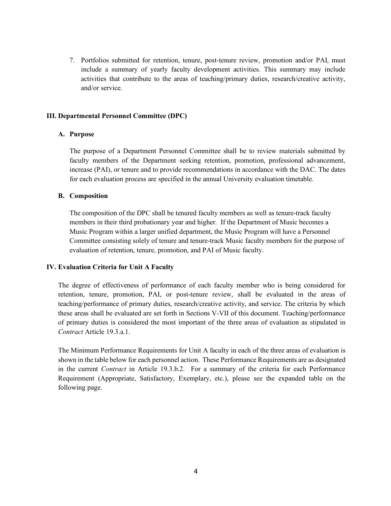7. Portfolios submitted for retention, tenure, post-tenure review, promotion and/or PAI, must include a summary of yearly faculty development activities. This summary may include activities that contribute to the areas of teaching/primary duties, research/creative activity, and/or service.

#### **III. Departmental Personnel Committee (DPC)**

#### **A. Purpose**

The purpose of a Department Personnel Committee shall be to review materials submitted by faculty members of the Department seeking retention, promotion, professional advancement, increase (PAI), or tenure and to provide recommendations in accordance with the DAC. The dates for each evaluation process are specified in the annual University evaluation timetable.

#### **B. Composition**

The composition of the DPC shall be tenured faculty members as well as tenure-track faculty members in their third probationary year and higher. If the Department of Music becomes a Music Program within a larger unified department, the Music Program will have a Personnel Committee consisting solely of tenure and tenure-track Music faculty members for the purpose of evaluation of retention, tenure, promotion, and PAI of Music faculty.

#### **IV. Evaluation Criteria for Unit A Faculty**

The degree of effectiveness of performance of each faculty member who is being considered for retention, tenure, promotion, PAI, or post-tenure review, shall be evaluated in the areas of teaching/performance of primary duties, research/creative activity, and service. The criteria by which these areas shall be evaluated are set forth in Sections V-VII of this document. Teaching/performance of primary duties is considered the most important of the three areas of evaluation as stipulated in *Contract* Article 19.3.a.1.

The Minimum Performance Requirements for Unit A faculty in each of the three areas of evaluation is shown in the table below for each personnel action. These Performance Requirements are as designated in the current *Contract* in Article 19.3.b.2. For a summary of the criteria for each Performance Requirement (Appropriate, Satisfactory, Exemplary, etc.), please see the expanded table on the following page.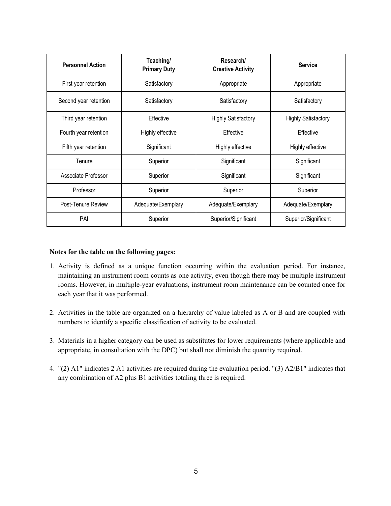| <b>Personnel Action</b> | Teaching/<br>Research/<br><b>Primary Duty</b><br><b>Creative Activity</b> |                                                          | <b>Service</b>       |
|-------------------------|---------------------------------------------------------------------------|----------------------------------------------------------|----------------------|
| First year retention    | Satisfactory                                                              | Appropriate                                              | Appropriate          |
| Second year retention   | Satisfactory<br>Satisfactory                                              |                                                          | Satisfactory         |
| Third year retention    | Effective                                                                 | <b>Highly Satisfactory</b><br><b>Highly Satisfactory</b> |                      |
| Fourth year retention   | Highly effective                                                          | Effective<br>Effective                                   |                      |
| Fifth year retention    | Significant                                                               | Highly effective<br>Highly effective                     |                      |
| Tenure                  | Superior                                                                  | Significant<br>Significant                               |                      |
| Associate Professor     | Significant<br>Superior                                                   |                                                          | Significant          |
| Professor               | Superior                                                                  | Superior<br>Superior                                     |                      |
| Post-Tenure Review      | Adequate/Exemplary                                                        | Adequate/Exemplary<br>Adequate/Exemplary                 |                      |
| PAI                     | Superior                                                                  | Superior/Significant                                     | Superior/Significant |

#### **Notes for the table on the following pages:**

- 1. Activity is defined as a unique function occurring within the evaluation period. For instance, maintaining an instrument room counts as one activity, even though there may be multiple instrument rooms. However, in multiple-year evaluations, instrument room maintenance can be counted once for each year that it was performed.
- 2. Activities in the table are organized on a hierarchy of value labeled as A or B and are coupled with numbers to identify a specific classification of activity to be evaluated.
- 3. Materials in a higher category can be used as substitutes for lower requirements (where applicable and appropriate, in consultation with the DPC) but shall not diminish the quantity required.
- 4. "(2) A1" indicates 2 A1 activities are required during the evaluation period. "(3) A2/B1" indicates that any combination of A2 plus B1 activities totaling three is required.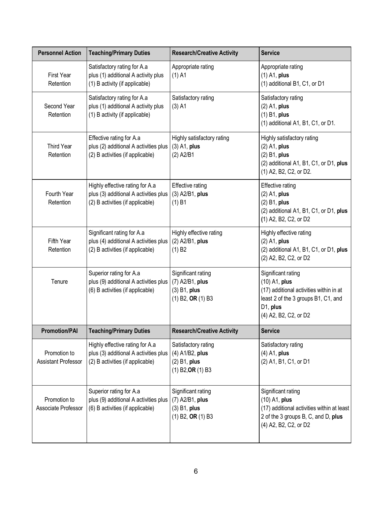| <b>Personnel Action</b>                    | <b>Teaching/Primary Duties</b>                                                                               | <b>Research/Creative Activity</b>                                                                          | <b>Service</b>                                                                                                                                             |
|--------------------------------------------|--------------------------------------------------------------------------------------------------------------|------------------------------------------------------------------------------------------------------------|------------------------------------------------------------------------------------------------------------------------------------------------------------|
| First Year<br>Retention                    | Satisfactory rating for A.a<br>plus (1) additional A activity plus<br>(1) B activity (if applicable)         | Appropriate rating<br>$(1)$ A1                                                                             | Appropriate rating<br>$(1)$ A1, plus<br>(1) additional B1, C1, or D1                                                                                       |
| Second Year<br>Retention                   | Satisfactory rating for A.a<br>plus (1) additional A activity plus<br>(1) B activity (if applicable)         | Satisfactory rating<br>$(3)$ A1                                                                            | Satisfactory rating<br>$(2)$ A1, plus<br>$(1)$ B1, plus<br>(1) additional A1, B1, C1, or D1.                                                               |
| <b>Third Year</b><br>Retention             | Effective rating for A.a<br>plus (2) additional A activities plus<br>(2) B activities (if applicable)        | Highly satisfactory rating<br>$(3)$ A1, plus<br>$(2)$ A2/B1                                                | Highly satisfactory rating<br>$(2)$ A1, plus<br>$(2)$ B1, plus<br>(2) additional A1, B1, C1, or D1, plus<br>(1) A2, B2, C2, or D2.                         |
| Fourth Year<br>Retention                   | Highly effective rating for A.a<br>plus (3) additional A activities plus<br>(2) B activities (if applicable) | <b>Effective rating</b><br>(3) A2/B1, plus<br>$(1)$ B1                                                     | <b>Effective rating</b><br>$(2)$ A1, plus<br>$(2)$ B1, plus<br>(2) additional A1, B1, C1, or D1, plus<br>(1) A2, B2, C2, or D2                             |
| Fifth Year<br>Retention                    | Significant rating for A.a<br>plus (4) additional A activities plus<br>(2) B activities (if applicable)      | Highly effective rating<br>(2) A2/B1, plus<br>(1) B2                                                       | Highly effective rating<br>$(2)$ A1, plus<br>(2) additional A1, B1, C1, or D1, plus<br>(2) A2, B2, C2, or D2                                               |
| Tenure                                     | Superior rating for A.a<br>plus (9) additional A activities plus<br>(6) B activities (if applicable)         | Significant rating<br>(7) A2/B1, plus<br>$(3)$ B1, plus<br>$(1)$ B2, OR $(1)$ B3                           | Significant rating<br>(10) A1, plus<br>(17) additional activities within in at<br>least 2 of the 3 groups B1, C1, and<br>D1, plus<br>(4) A2, B2, C2, or D2 |
| <b>Promotion/PAI</b>                       | <b>Teaching/Primary Duties</b>                                                                               | <b>Research/Creative Activity</b>                                                                          | <b>Service</b>                                                                                                                                             |
| Promotion to<br><b>Assistant Professor</b> | Highly effective rating for A.a<br>plus (3) additional A activities plus<br>(2) B activities (if applicable) | Satisfactory rating<br>(4) A1/B2, plus<br>$(2)$ B1, plus<br>$(1)$ B <sub>2</sub> , OR $(1)$ B <sub>3</sub> | Satisfactory rating<br>$(4)$ A1, plus<br>(2) A1, B1, C1, or D1                                                                                             |
| Promotion to<br>Associate Professor        | Superior rating for A.a<br>plus (9) additional A activities plus<br>(6) B activities (if applicable)         | Significant rating<br>(7) A2/B1, plus<br>$(3)$ B1, plus<br>$(1)$ B2, OR $(1)$ B3                           | Significant rating<br>$(10)$ A1, plus<br>(17) additional activities within at least<br>2 of the 3 groups B, C, and D, plus<br>(4) A2, B2, C2, or D2        |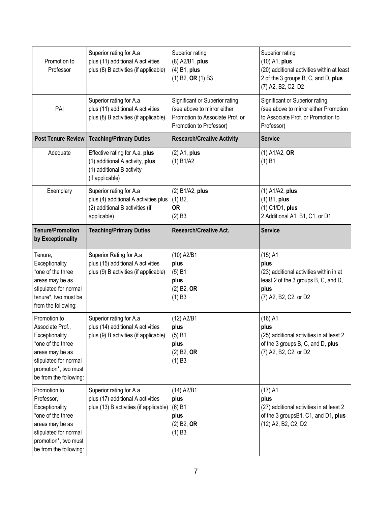| Promotion to<br>Professor                                                                                                                                             | Superior rating for A.a<br>plus (11) additional A activities<br>plus (8) B activities (if applicable)              | Superior rating<br>(8) A2/B1, plus<br>$(4)$ B1, plus<br>$(1)$ B2, OR $(1)$ B3                                               | Superior rating<br>(10) A1, plus<br>(20) additional activities within at least<br>2 of the 3 groups B, C, and D, plus<br>(7) A2, B2, C2, D2 |
|-----------------------------------------------------------------------------------------------------------------------------------------------------------------------|--------------------------------------------------------------------------------------------------------------------|-----------------------------------------------------------------------------------------------------------------------------|---------------------------------------------------------------------------------------------------------------------------------------------|
| PAI                                                                                                                                                                   | Superior rating for A.a<br>plus (11) additional A activities<br>plus (8) B activities (if applicable)              | Significant or Superior rating<br>(see above to mirror either<br>Promotion to Associate Prof. or<br>Promotion to Professor) | Significant or Superior rating<br>(see above to mirror either Promotion<br>to Associate Prof. or Promotion to<br>Professor)                 |
| <b>Post Tenure Review</b>                                                                                                                                             | <b>Teaching/Primary Duties</b>                                                                                     | <b>Research/Creative Activity</b>                                                                                           | <b>Service</b>                                                                                                                              |
| Adequate                                                                                                                                                              | Effective rating for A.a, plus<br>(1) additional A activity, plus<br>(1) additional B activity<br>(if applicable)  | $(2)$ A1, plus<br>(1) B1/A2                                                                                                 | $(1)$ A1/A2, OR<br>(1) B1                                                                                                                   |
| Exemplary                                                                                                                                                             | Superior rating for A.a<br>plus (4) additional A activities plus<br>(2) additional B activities (if<br>applicable) | (2) B1/A2, plus<br>$(1)$ B2,<br><b>OR</b><br>(2) B3                                                                         | $(1)$ A1/A2, plus<br>$(1)$ B1, plus<br>(1) C1/D1, plus<br>2 Additional A1, B1, C1, or D1                                                    |
| <b>Tenure/Promotion</b><br>by Exceptionality                                                                                                                          | <b>Teaching/Primary Duties</b>                                                                                     | <b>Research/Creative Act.</b>                                                                                               | <b>Service</b>                                                                                                                              |
| Tenure,<br>Exceptionality<br>*one of the three<br>areas may be as<br>stipulated for normal<br>tenure*, two must be<br>from the following:                             | Superior Rating for A.a<br>plus (15) additional A activities<br>plus (9) B activities (if applicable)              | (10) A2/B1<br>plus<br>$(5)$ B1<br>plus<br>$(2)$ B <sub>2</sub> , O <sub>R</sub><br>$(1)$ B3                                 | $(15)$ A1<br>plus<br>(23) additional activities within in at<br>least 2 of the 3 groups B, C, and D,<br>plus<br>(7) A2, B2, C2, or D2       |
| Promotion to<br>Associate Prof.,<br>Exceptionality<br>*one of the three<br>areas may be as<br>stipulated for normal<br>promotion*, two must<br>be from the following: | Superior rating for A.a<br>plus (14) additional A activities<br>plus (9) B activities (if applicable)              | (12) A2/B1<br>plus<br>$(5)$ B1<br>plus<br>$(2)$ B2, OR<br>$(1)$ B3                                                          | $(16)$ A1<br>plus<br>(25) additional activities in at least 2<br>of the 3 groups B, C, and D, plus<br>(7) A2, B2, C2, or D2                 |
| Promotion to<br>Professor,<br>Exceptionality<br>*one of the three<br>areas may be as<br>stipulated for normal<br>promotion*, two must<br>be from the following:       | Superior rating for A.a<br>plus (17) additional A activities<br>plus (13) B activities (if applicable)             | (14) A2/B1<br>plus<br>$(6)$ B1<br>plus<br>$(2)$ B <sub>2</sub> , O <sub>R</sub><br>$(1)$ B3                                 | $(17)$ A1<br>plus<br>(27) additional activities in at least 2<br>of the 3 groupsB1, C1, and D1, plus<br>(12) A2, B2, C2, D2                 |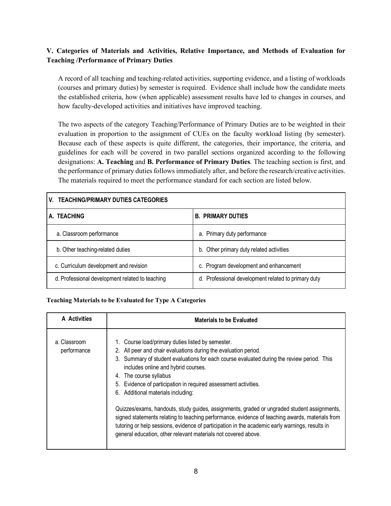# **V. Categories of Materials and Activities, Relative Importance, and Methods of Evaluation for Teaching /Performance of Primary Duties**

A record of all teaching and teaching-related activities, supporting evidence, and a listing of workloads (courses and primary duties) by semester is required. Evidence shall include how the candidate meets the established criteria, how (when applicable) assessment results have led to changes in courses, and how faculty-developed activities and initiatives have improved teaching.

The two aspects of the category Teaching/Performance of Primary Duties are to be weighted in their evaluation in proportion to the assignment of CUEs on the faculty workload listing (by semester). Because each of these aspects is quite different, the categories, their importance, the criteria, and guidelines for each will be covered in two parallel sections organized according to the following designations: **A. Teaching** and **B. Performance of Primary Duties**. The teaching section is first, and the performance of primary duties follows immediately after, and before the research/creative activities. The materials required to meet the performance standard for each section are listed below.

# **V. TEACHING/PRIMARY DUTIES CATEGORIES**

| A. TEACHING                                     | <b>B. PRIMARY DUTIES</b>                            |  |
|-------------------------------------------------|-----------------------------------------------------|--|
| a. Classroom performance                        | a. Primary duty performance                         |  |
| b. Other teaching-related duties                | b. Other primary duty related activities            |  |
| c. Curriculum development and revision          | c. Program development and enhancement              |  |
| d. Professional development related to teaching | d. Professional development related to primary duty |  |

#### **Teaching Materials to be Evaluated for Type A Categories**

| A Activities                | <b>Materials to be Evaluated</b>                                                                                                                                                                                                                                                                                                                                                                                                                                                                                                                                                                                                                                                                                                                                    |
|-----------------------------|---------------------------------------------------------------------------------------------------------------------------------------------------------------------------------------------------------------------------------------------------------------------------------------------------------------------------------------------------------------------------------------------------------------------------------------------------------------------------------------------------------------------------------------------------------------------------------------------------------------------------------------------------------------------------------------------------------------------------------------------------------------------|
| a. Classroom<br>performance | 1. Course load/primary duties listed by semester.<br>2. All peer and chair evaluations during the evaluation period.<br>3. Summary of student evaluations for each course evaluated during the review period. This<br>includes online and hybrid courses.<br>4. The course syllabus<br>5. Evidence of participation in required assessment activities.<br>6. Additional materials including:<br>Quizzes/exams, handouts, study guides, assignments, graded or ungraded student assignments,<br>signed statements relating to teaching performance, evidence of teaching awards, materials from<br>tutoring or help sessions, evidence of participation in the academic early warnings, results in<br>general education, other relevant materials not covered above. |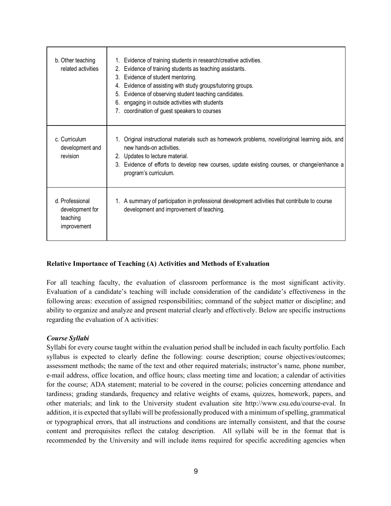| b. Other teaching<br>related activities                       | 1. Evidence of training students in research/creative activities.<br>Evidence of training students as teaching assistants.<br>2.<br>Evidence of student mentoring.<br>3.<br>Evidence of assisting with study groups/tutoring groups.<br>4.<br>Evidence of observing student teaching candidates.<br>5.<br>engaging in outside activities with students<br>6.<br>coordination of guest speakers to courses |
|---------------------------------------------------------------|-----------------------------------------------------------------------------------------------------------------------------------------------------------------------------------------------------------------------------------------------------------------------------------------------------------------------------------------------------------------------------------------------------------|
| c. Curriculum<br>development and<br>revision                  | 1. Original instructional materials such as homework problems, novel/original learning aids, and<br>new hands-on activities.<br>2. Updates to lecture material.<br>3. Evidence of efforts to develop new courses, update existing courses, or change/enhance a<br>program's curriculum.                                                                                                                   |
| d. Professional<br>development for<br>teaching<br>improvement | 1. A summary of participation in professional development activities that contribute to course<br>development and improvement of teaching.                                                                                                                                                                                                                                                                |

#### **Relative Importance of Teaching (A) Activities and Methods of Evaluation**

For all teaching faculty, the evaluation of classroom performance is the most significant activity. Evaluation of a candidate's teaching will include consideration of the candidate's effectiveness in the following areas: execution of assigned responsibilities; command of the subject matter or discipline; and ability to organize and analyze and present material clearly and effectively. Below are specific instructions regarding the evaluation of A activities:

#### *Course Syllabi*

Syllabi for every course taught within the evaluation period shall be included in each faculty portfolio. Each syllabus is expected to clearly define the following: course description; course objectives/outcomes; assessment methods; the name of the text and other required materials; instructor's name, phone number, e-mail address, office location, and office hours; class meeting time and location; a calendar of activities for the course; ADA statement; material to be covered in the course; policies concerning attendance and tardiness; grading standards, frequency and relative weights of exams, quizzes, homework, papers, and other materials; and link to the University student evaluation site http://www.csu.edu/course-eval. In addition, it is expected that syllabi will be professionally produced with a minimum of spelling, grammatical or typographical errors, that all instructions and conditions are internally consistent, and that the course content and prerequisites reflect the catalog description. All syllabi will be in the format that is recommended by the University and will include items required for specific accrediting agencies when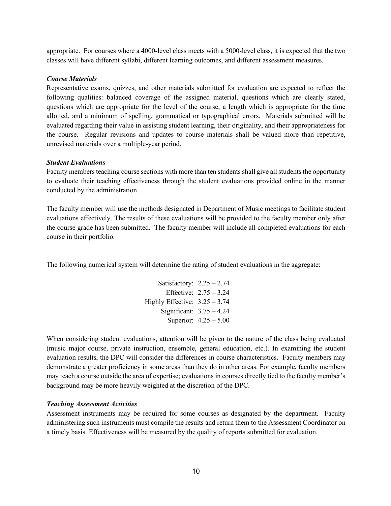appropriate. For courses where a 4000-level class meets with a 5000-level class, it is expected that the two classes will have different syllabi, different learning outcomes, and different assessment measures.

#### *Course Materials*

Representative exams, quizzes, and other materials submitted for evaluation are expected to reflect the following qualities: balanced coverage of the assigned material, questions which are clearly stated, questions which are appropriate for the level of the course, a length which is appropriate for the time allotted, and a minimum of spelling, grammatical or typographical errors. Materials submitted will be evaluated regarding their value in assisting student learning, their originality, and their appropriateness for the course. Regular revisions and updates to course materials shall be valued more than repetitive, unrevised materials over a multiple-year period.

#### *Student Evaluations*

Faculty members teaching course sections with more than ten students shall give all students the opportunity to evaluate their teaching effectiveness through the student evaluations provided online in the manner conducted by the administration.

The faculty member will use the methods designated in Department of Music meetings to facilitate student evaluations effectively. The results of these evaluations will be provided to the faculty member only after the course grade has been submitted. The faculty member will include all completed evaluations for each course in their portfolio.

The following numerical system will determine the rating of student evaluations in the aggregate:

| Satisfactory: $2.25 - 2.74$     |                          |
|---------------------------------|--------------------------|
|                                 | Effective: $2.75 - 3.24$ |
| Highly Effective: $3.25 - 3.74$ |                          |
| Significant: $3.75 - 4.24$      |                          |
|                                 | Superior: $4.25 - 5.00$  |

When considering student evaluations, attention will be given to the nature of the class being evaluated (music major course, private instruction, ensemble, general education, etc.). In examining the student evaluation results, the DPC will consider the differences in course characteristics. Faculty members may demonstrate a greater proficiency in some areas than they do in other areas. For example, faculty members may teach a course outside the area of expertise; evaluations in courses directly tied to the faculty member's background may be more heavily weighted at the discretion of the DPC.

#### *Teaching Assessment Activities*

Assessment instruments may be required for some courses as designated by the department. Faculty administering such instruments must compile the results and return them to the Assessment Coordinator on a timely basis. Effectiveness will be measured by the quality of reports submitted for evaluation.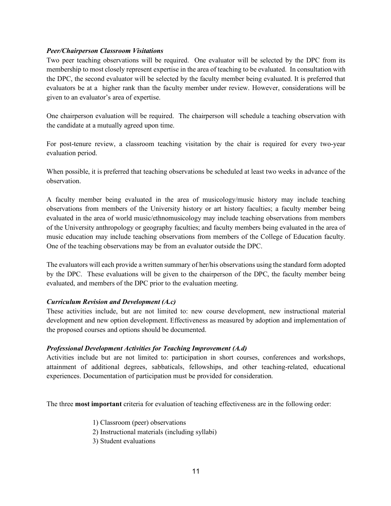#### *Peer/Chairperson Classroom Visitations*

Two peer teaching observations will be required. One evaluator will be selected by the DPC from its membership to most closely represent expertise in the area of teaching to be evaluated. In consultation with the DPC, the second evaluator will be selected by the faculty member being evaluated. It is preferred that evaluators be at a higher rank than the faculty member under review. However, considerations will be given to an evaluator's area of expertise.

One chairperson evaluation will be required. The chairperson will schedule a teaching observation with the candidate at a mutually agreed upon time.

For post-tenure review, a classroom teaching visitation by the chair is required for every two-year evaluation period.

When possible, it is preferred that teaching observations be scheduled at least two weeks in advance of the observation.

A faculty member being evaluated in the area of musicology/music history may include teaching observations from members of the University history or art history faculties; a faculty member being evaluated in the area of world music/ethnomusicology may include teaching observations from members of the University anthropology or geography faculties; and faculty members being evaluated in the area of music education may include teaching observations from members of the College of Education faculty. One of the teaching observations may be from an evaluator outside the DPC.

The evaluators will each provide a written summary of her/his observations using the standard form adopted by the DPC. These evaluations will be given to the chairperson of the DPC, the faculty member being evaluated, and members of the DPC prior to the evaluation meeting.

# *Curriculum Revision and Development (A.c)*

These activities include, but are not limited to: new course development, new instructional material development and new option development. Effectiveness as measured by adoption and implementation of the proposed courses and options should be documented.

# *Professional Development Activities for Teaching Improvement (A.d)*

Activities include but are not limited to: participation in short courses, conferences and workshops, attainment of additional degrees, sabbaticals, fellowships, and other teaching-related, educational experiences. Documentation of participation must be provided for consideration.

The three **most important** criteria for evaluation of teaching effectiveness are in the following order:

- 1) Classroom (peer) observations
- 2) Instructional materials (including syllabi)
- 3) Student evaluations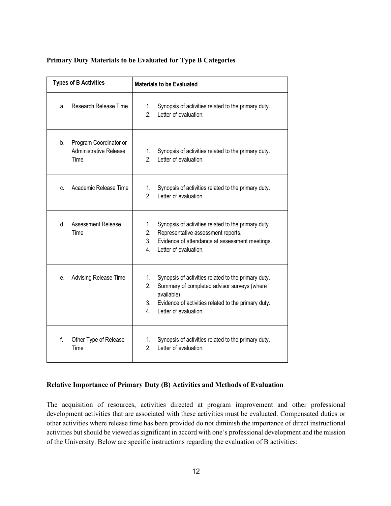#### **Primary Duty Materials to be Evaluated for Type B Categories**

| <b>Types of B Activities</b> |                                                          | <b>Materials to be Evaluated</b>                                                                                                                                                                                                      |
|------------------------------|----------------------------------------------------------|---------------------------------------------------------------------------------------------------------------------------------------------------------------------------------------------------------------------------------------|
| a.                           | Research Release Time                                    | Synopsis of activities related to the primary duty.<br>1.<br>2 <sub>1</sub><br>Letter of evaluation.                                                                                                                                  |
| b.                           | Program Coordinator or<br>Administrative Release<br>Time | Synopsis of activities related to the primary duty.<br>1.<br>2.<br>Letter of evaluation.                                                                                                                                              |
| C.                           | Academic Release Time                                    | Synopsis of activities related to the primary duty.<br>1.<br>2.<br>Letter of evaluation.                                                                                                                                              |
| $d_{-}$                      | <b>Assessment Release</b><br>Time                        | Synopsis of activities related to the primary duty.<br>1.<br>2.<br>Representative assessment reports.<br>3.<br>Evidence of attendance at assessment meetings.<br>$4_{-}$<br>Letter of evaluation.                                     |
| e.                           | Advising Release Time                                    | 1.<br>Synopsis of activities related to the primary duty.<br>Summary of completed advisor surveys (where<br>2.<br>available).<br>3.<br>Evidence of activities related to the primary duty.<br>$\overline{4}$<br>Letter of evaluation. |
| f.                           | Other Type of Release<br>Time                            | Synopsis of activities related to the primary duty.<br>1.<br>2.<br>Letter of evaluation.                                                                                                                                              |

#### **Relative Importance of Primary Duty (B) Activities and Methods of Evaluation**

The acquisition of resources, activities directed at program improvement and other professional development activities that are associated with these activities must be evaluated. Compensated duties or other activities where release time has been provided do not diminish the importance of direct instructional activities but should be viewed as significant in accord with one's professional development and the mission of the University. Below are specific instructions regarding the evaluation of B activities: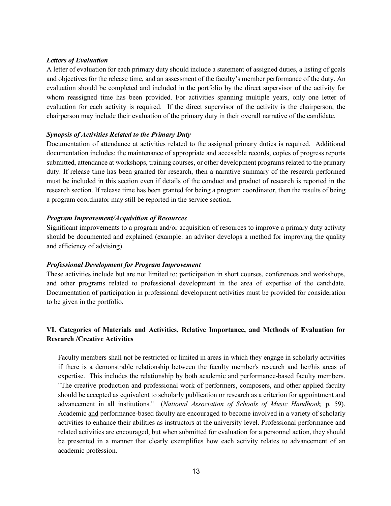#### *Letters of Evaluation*

A letter of evaluation for each primary duty should include a statement of assigned duties, a listing of goals and objectives for the release time, and an assessment of the faculty's member performance of the duty. An evaluation should be completed and included in the portfolio by the direct supervisor of the activity for whom reassigned time has been provided. For activities spanning multiple years, only one letter of evaluation for each activity is required. If the direct supervisor of the activity is the chairperson, the chairperson may include their evaluation of the primary duty in their overall narrative of the candidate.

#### *Synopsis of Activities Related to the Primary Duty*

Documentation of attendance at activities related to the assigned primary duties is required. Additional documentation includes: the maintenance of appropriate and accessible records, copies of progress reports submitted, attendance at workshops, training courses, or other development programs related to the primary duty. If release time has been granted for research, then a narrative summary of the research performed must be included in this section even if details of the conduct and product of research is reported in the research section. If release time has been granted for being a program coordinator, then the results of being a program coordinator may still be reported in the service section.

#### *Program Improvement/Acquisition of Resources*

Significant improvements to a program and/or acquisition of resources to improve a primary duty activity should be documented and explained (example: an advisor develops a method for improving the quality and efficiency of advising).

#### *Professional Development for Program Improvement*

These activities include but are not limited to: participation in short courses, conferences and workshops, and other programs related to professional development in the area of expertise of the candidate. Documentation of participation in professional development activities must be provided for consideration to be given in the portfolio.

# **VI. Categories of Materials and Activities, Relative Importance, and Methods of Evaluation for Research /Creative Activities**

Faculty members shall not be restricted or limited in areas in which they engage in scholarly activities if there is a demonstrable relationship between the faculty member's research and her/his areas of expertise. This includes the relationship by both academic and performance-based faculty members. "The creative production and professional work of performers, composers, and other applied faculty should be accepted as equivalent to scholarly publication or research as a criterion for appointment and advancement in all institutions." (*National Association of Schools of Music Handbook,* p. 59). Academic and performance-based faculty are encouraged to become involved in a variety of scholarly activities to enhance their abilities as instructors at the university level. Professional performance and related activities are encouraged, but when submitted for evaluation for a personnel action, they should be presented in a manner that clearly exemplifies how each activity relates to advancement of an academic profession.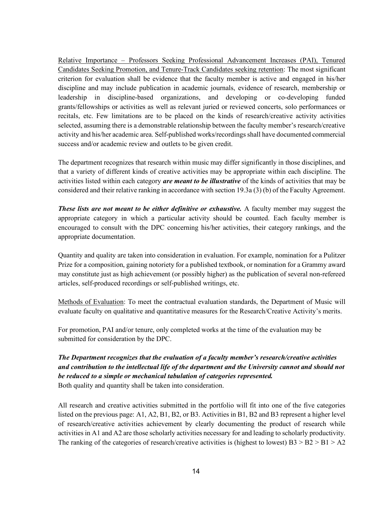Relative Importance – Professors Seeking Professional Advancement Increases (PAI), Tenured Candidates Seeking Promotion, and Tenure-Track Candidates seeking retention: The most significant criterion for evaluation shall be evidence that the faculty member is active and engaged in his/her discipline and may include publication in academic journals, evidence of research, membership or leadership in discipline-based organizations, and developing or co-developing funded grants/fellowships or activities as well as relevant juried or reviewed concerts, solo performances or recitals, etc. Few limitations are to be placed on the kinds of research/creative activity activities selected, assuming there is a demonstrable relationship between the faculty member's research/creative activity and his/her academic area. Self-published works/recordings shall have documented commercial success and/or academic review and outlets to be given credit.

The department recognizes that research within music may differ significantly in those disciplines, and that a variety of different kinds of creative activities may be appropriate within each discipline. The activities listed within each category *are meant to be illustrative* of the kinds of activities that may be considered and their relative ranking in accordance with section 19.3a (3) (b) of the Faculty Agreement.

*These lists are not meant to be either definitive or exhaustive.* A faculty member may suggest the appropriate category in which a particular activity should be counted. Each faculty member is encouraged to consult with the DPC concerning his/her activities, their category rankings, and the appropriate documentation.

Quantity and quality are taken into consideration in evaluation. For example, nomination for a Pulitzer Prize for a composition, gaining notoriety for a published textbook, or nomination for a Grammy award may constitute just as high achievement (or possibly higher) as the publication of several non-refereed articles, self-produced recordings or self-published writings, etc.

Methods of Evaluation: To meet the contractual evaluation standards, the Department of Music will evaluate faculty on qualitative and quantitative measures for the Research/Creative Activity's merits.

For promotion, PAI and/or tenure, only completed works at the time of the evaluation may be submitted for consideration by the DPC.

# *The Department recognizes that the evaluation of a faculty member's research/creative activities and contribution to the intellectual life of the department and the University cannot and should not be reduced to a simple or mechanical tabulation of categories represented.* Both quality and quantity shall be taken into consideration.

All research and creative activities submitted in the portfolio will fit into one of the five categories listed on the previous page: A1, A2, B1, B2, or B3. Activities in B1, B2 and B3 represent a higher level of research/creative activities achievement by clearly documenting the product of research while activities in A1 and A2 are those scholarly activities necessary for and leading to scholarly productivity. The ranking of the categories of research/creative activities is (highest to lowest)  $B3 > B2 > B1 > A2$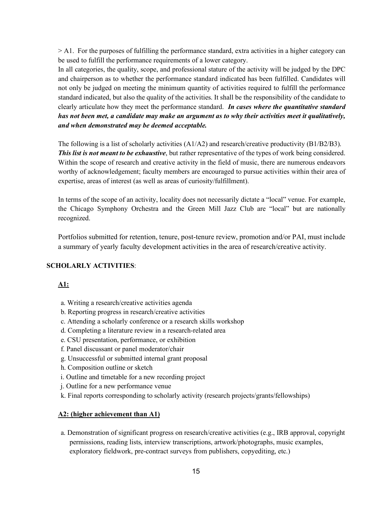> A1. For the purposes of fulfilling the performance standard, extra activities in a higher category can be used to fulfill the performance requirements of a lower category.

In all categories, the quality, scope, and professional stature of the activity will be judged by the DPC and chairperson as to whether the performance standard indicated has been fulfilled. Candidates will not only be judged on meeting the minimum quantity of activities required to fulfill the performance standard indicated, but also the quality of the activities. It shall be the responsibility of the candidate to clearly articulate how they meet the performance standard. *In cases where the quantitative standard has not been met, a candidate may make an argument as to why their activities meet it qualitatively, and when demonstrated may be deemed acceptable.*

The following is a list of scholarly activities (A1/A2) and research/creative productivity (B1/B2/B3). *This list is not meant to be exhaustive*, but rather representative of the types of work being considered. Within the scope of research and creative activity in the field of music, there are numerous endeavors worthy of acknowledgement; faculty members are encouraged to pursue activities within their area of expertise, areas of interest (as well as areas of curiosity/fulfillment).

In terms of the scope of an activity, locality does not necessarily dictate a "local" venue. For example, the Chicago Symphony Orchestra and the Green Mill Jazz Club are "local" but are nationally recognized.

Portfolios submitted for retention, tenure, post-tenure review, promotion and/or PAI, must include a summary of yearly faculty development activities in the area of research/creative activity.

#### **SCHOLARLY ACTIVITIES**:

# **A1:**

- a. Writing a research/creative activities agenda
- b. Reporting progress in research/creative activities
- c. Attending a scholarly conference or a research skills workshop
- d. Completing a literature review in a research-related area
- e. CSU presentation, performance, or exhibition
- f. Panel discussant or panel moderator/chair
- g. Unsuccessful or submitted internal grant proposal
- h. Composition outline or sketch
- i. Outline and timetable for a new recording project
- j. Outline for a new performance venue
- k. Final reports corresponding to scholarly activity (research projects/grants/fellowships)

#### **A2: (higher achievement than A1)**

 a. Demonstration of significant progress on research/creative activities (e.g., IRB approval, copyright permissions, reading lists, interview transcriptions, artwork/photographs, music examples, exploratory fieldwork, pre-contract surveys from publishers, copyediting, etc.)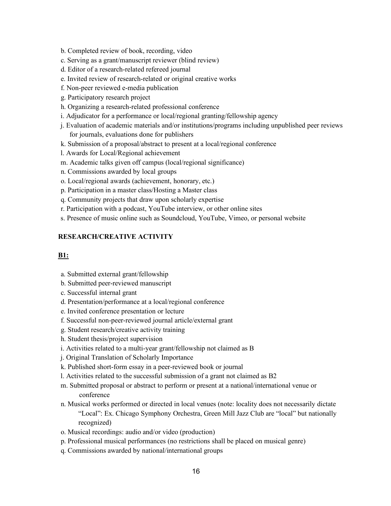- b. Completed review of book, recording, video
- c. Serving as a grant/manuscript reviewer (blind review)
- d. Editor of a research-related refereed journal
- e. Invited review of research-related or original creative works
- f. Non-peer reviewed e-media publication
- g. Participatory research project
- h. Organizing a research-related professional conference
- i. Adjudicator for a performance or local/regional granting/fellowship agency
- j. Evaluation of academic materials and/or institutions/programs including unpublished peer reviews for journals, evaluations done for publishers
- k. Submission of a proposal/abstract to present at a local/regional conference
- l. Awards for Local/Regional achievement
- m. Academic talks given off campus (local/regional significance)
- n. Commissions awarded by local groups
- o. Local/regional awards (achievement, honorary, etc.)
- p. Participation in a master class/Hosting a Master class
- q. Community projects that draw upon scholarly expertise
- r. Participation with a podcast, YouTube interview, or other online sites
- s. Presence of music online such as Soundcloud, YouTube, Vimeo, or personal website

# **RESEARCH/CREATIVE ACTIVITY**

# **B1:**

- a. Submitted external grant/fellowship
- b. Submitted peer-reviewed manuscript
- c. Successful internal grant
- d. Presentation/performance at a local/regional conference
- e. Invited conference presentation or lecture
- f. Successful non-peer-reviewed journal article/external grant
- g. Student research/creative activity training
- h. Student thesis/project supervision
- i. Activities related to a multi-year grant/fellowship not claimed as B
- j. Original Translation of Scholarly Importance
- k. Published short-form essay in a peer-reviewed book or journal
- l. Activities related to the successful submission of a grant not claimed as B2
- m. Submitted proposal or abstract to perform or present at a national/international venue or conference
- n. Musical works performed or directed in local venues (note: locality does not necessarily dictate "Local": Ex. Chicago Symphony Orchestra, Green Mill Jazz Club are "local" but nationally recognized)
- o. Musical recordings: audio and/or video (production)
- p. Professional musical performances (no restrictions shall be placed on musical genre)
- q. Commissions awarded by national/international groups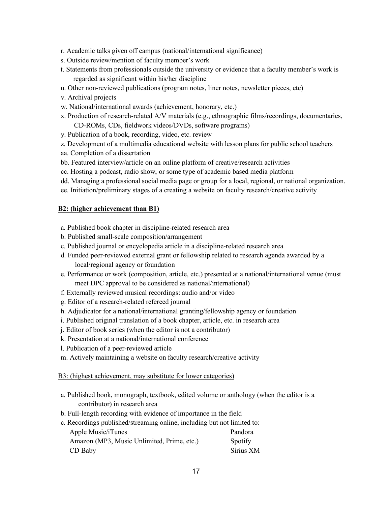- r. Academic talks given off campus (national/international significance)
- s. Outside review/mention of faculty member's work
- t. Statements from professionals outside the university or evidence that a faculty member's work is regarded as significant within his/her discipline
- u. Other non-reviewed publications (program notes, liner notes, newsletter pieces, etc)
- v. Archival projects
- w. National/international awards (achievement, honorary, etc.)
- x. Production of research-related A/V materials (e.g., ethnographic films/recordings, documentaries, CD-ROMs, CDs, fieldwork videos/DVDs, software programs)
- y. Publication of a book, recording, video, etc. review
- z. Development of a multimedia educational website with lesson plans for public school teachers
- aa. Completion of a dissertation
- bb. Featured interview/article on an online platform of creative/research activities
- cc. Hosting a podcast, radio show, or some type of academic based media platform
- dd. Managing a professional social media page or group for a local, regional, or national organization.
- ee. Initiation/preliminary stages of a creating a website on faculty research/creative activity

#### **B2: (higher achievement than B1)**

- a. Published book chapter in discipline-related research area
- b. Published small-scale composition/arrangement
- c. Published journal or encyclopedia article in a discipline-related research area
- d. Funded peer-reviewed external grant or fellowship related to research agenda awarded by a local/regional agency or foundation
- e. Performance or work (composition, article, etc.) presented at a national/international venue (must meet DPC approval to be considered as national/international)
- f. Externally reviewed musical recordings: audio and/or video
- g. Editor of a research-related refereed journal
- h. Adjudicator for a national/international granting/fellowship agency or foundation
- i. Published original translation of a book chapter, article, etc. in research area
- j. Editor of book series (when the editor is not a contributor)
- k. Presentation at a national/international conference
- l. Publication of a peer-reviewed article
- m. Actively maintaining a website on faculty research/creative activity

#### B3: (highest achievement, may substitute for lower categories)

- a. Published book, monograph, textbook, edited volume or anthology (when the editor is a contributor) in research area
- b. Full-length recording with evidence of importance in the field
- c. Recordings published/streaming online, including but not limited to:

| Apple Music/iTunes                         | Pandora   |
|--------------------------------------------|-----------|
| Amazon (MP3, Music Unlimited, Prime, etc.) | Spotify   |
| CD Baby                                    | Sirius XM |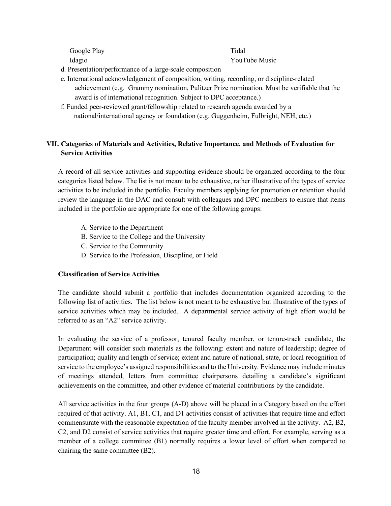Google Play Tidal

Idagio YouTube Music

- d. Presentation/performance of a large-scale composition
- e. International acknowledgement of composition, writing, recording, or discipline-related achievement (e.g. Grammy nomination, Pulitzer Prize nomination. Must be verifiable that the award is of international recognition. Subject to DPC acceptance.)
- f. Funded peer-reviewed grant/fellowship related to research agenda awarded by a national/international agency or foundation (e.g. Guggenheim, Fulbright, NEH, etc.)

# **VII. Categories of Materials and Activities, Relative Importance, and Methods of Evaluation for Service Activities**

A record of all service activities and supporting evidence should be organized according to the four categories listed below. The list is not meant to be exhaustive, rather illustrative of the types of service activities to be included in the portfolio. Faculty members applying for promotion or retention should review the language in the DAC and consult with colleagues and DPC members to ensure that items included in the portfolio are appropriate for one of the following groups:

- A. Service to the Department
- B. Service to the College and the University
- C. Service to the Community
- D. Service to the Profession, Discipline, or Field

#### **Classification of Service Activities**

The candidate should submit a portfolio that includes documentation organized according to the following list of activities. The list below is not meant to be exhaustive but illustrative of the types of service activities which may be included. A departmental service activity of high effort would be referred to as an "A2" service activity.

In evaluating the service of a professor, tenured faculty member, or tenure-track candidate, the Department will consider such materials as the following: extent and nature of leadership; degree of participation; quality and length of service; extent and nature of national, state, or local recognition of service to the employee's assigned responsibilities and to the University. Evidence may include minutes of meetings attended, letters from committee chairpersons detailing a candidate's significant achievements on the committee, and other evidence of material contributions by the candidate.

All service activities in the four groups (A-D) above will be placed in a Category based on the effort required of that activity. A1, B1, C1, and D1 activities consist of activities that require time and effort commensurate with the reasonable expectation of the faculty member involved in the activity. A2, B2, C2, and D2 consist of service activities that require greater time and effort. For example, serving as a member of a college committee (B1) normally requires a lower level of effort when compared to chairing the same committee (B2).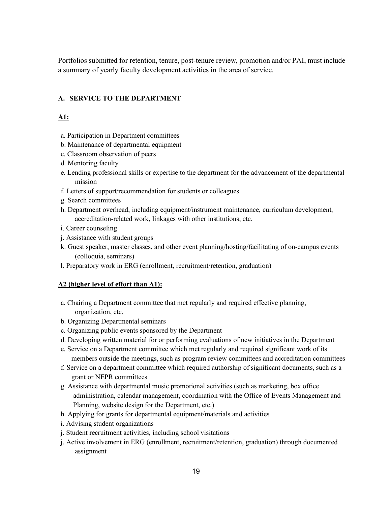Portfolios submitted for retention, tenure, post-tenure review, promotion and/or PAI, must include a summary of yearly faculty development activities in the area of service.

# **A. SERVICE TO THE DEPARTMENT**

# **A1:**

- a. Participation in Department committees
- b. Maintenance of departmental equipment
- c. Classroom observation of peers
- d. Mentoring faculty
- e. Lending professional skills or expertise to the department for the advancement of the departmental mission
- f. Letters of support/recommendation for students or colleagues
- g. Search committees
- h. Department overhead, including equipment/instrument maintenance, curriculum development, accreditation-related work, linkages with other institutions, etc.
- i. Career counseling
- j. Assistance with student groups
- k. Guest speaker, master classes, and other event planning/hosting/facilitating of on-campus events (colloquia, seminars)
- l. Preparatory work in ERG (enrollment, recruitment/retention, graduation)

# **A2 (higher level of effort than A1):**

- a. Chairing a Department committee that met regularly and required effective planning, organization, etc.
- b. Organizing Departmental seminars
- c. Organizing public events sponsored by the Department
- d. Developing written material for or performing evaluations of new initiatives in the Department
- e. Service on a Department committee which met regularly and required significant work of its members outside the meetings, such as program review committees and accreditation committees
- f. Service on a department committee which required authorship of significant documents, such as a grant or NEPR committees
- g. Assistance with departmental music promotional activities (such as marketing, box office administration, calendar management, coordination with the Office of Events Management and Planning, website design for the Department, etc.)
- h. Applying for grants for departmental equipment/materials and activities
- i. Advising student organizations
- j. Student recruitment activities, including school visitations
- j. Active involvement in ERG (enrollment, recruitment/retention, graduation) through documented assignment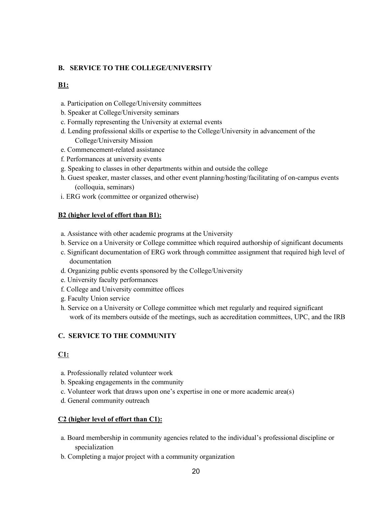### **B. SERVICE TO THE COLLEGE/UNIVERSITY**

### **B1:**

- a. Participation on College/University committees
- b. Speaker at College/University seminars
- c. Formally representing the University at external events
- d. Lending professional skills or expertise to the College/University in advancement of the College/University Mission
- e. Commencement-related assistance
- f. Performances at university events
- g. Speaking to classes in other departments within and outside the college
- h. Guest speaker, master classes, and other event planning/hosting/facilitating of on-campus events (colloquia, seminars)
- i. ERG work (committee or organized otherwise)

#### **B2 (higher level of effort than B1):**

- a. Assistance with other academic programs at the University
- b. Service on a University or College committee which required authorship of significant documents
- c. Significant documentation of ERG work through committee assignment that required high level of documentation
- d. Organizing public events sponsored by the College/University
- e. University faculty performances
- f. College and University committee offices
- g. Faculty Union service
- h. Service on a University or College committee which met regularly and required significant work of its members outside of the meetings, such as accreditation committees, UPC, and the IRB

#### **C. SERVICE TO THE COMMUNITY**

#### **C1:**

- a. Professionally related volunteer work
- b. Speaking engagements in the community
- c. Volunteer work that draws upon one's expertise in one or more academic area(s)
- d. General community outreach

#### **C2 (higher level of effort than C1):**

- a. Board membership in community agencies related to the individual's professional discipline or specialization
- b. Completing a major project with a community organization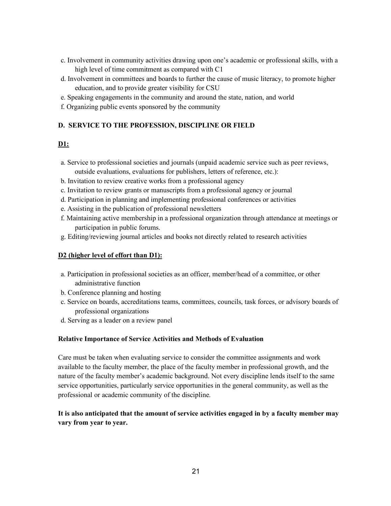- c. Involvement in community activities drawing upon one's academic or professional skills, with a high level of time commitment as compared with C1
- d. Involvement in committees and boards to further the cause of music literacy, to promote higher education, and to provide greater visibility for CSU
- e. Speaking engagements in the community and around the state, nation, and world
- f. Organizing public events sponsored by the community

# **D. SERVICE TO THE PROFESSION, DISCIPLINE OR FIELD**

# **D1:**

- a. Service to professional societies and journals (unpaid academic service such as peer reviews, outside evaluations, evaluations for publishers, letters of reference, etc.):
- b. Invitation to review creative works from a professional agency
- c. Invitation to review grants or manuscripts from a professional agency or journal
- d. Participation in planning and implementing professional conferences or activities
- e. Assisting in the publication of professional newsletters
- f. Maintaining active membership in a professional organization through attendance at meetings or participation in public forums.
- g. Editing/reviewing journal articles and books not directly related to research activities

#### **D2 (higher level of effort than D1):**

- a. Participation in professional societies as an officer, member/head of a committee, or other administrative function
- b. Conference planning and hosting
- c. Service on boards, accreditations teams, committees, councils, task forces, or advisory boards of professional organizations
- d. Serving as a leader on a review panel

#### **Relative Importance of Service Activities and Methods of Evaluation**

Care must be taken when evaluating service to consider the committee assignments and work available to the faculty member, the place of the faculty member in professional growth, and the nature of the faculty member's academic background. Not every discipline lends itself to the same service opportunities, particularly service opportunities in the general community, as well as the professional or academic community of the discipline.

# **It is also anticipated that the amount of service activities engaged in by a faculty member may vary from year to year.**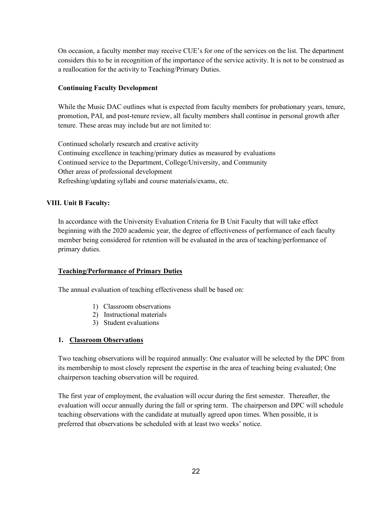On occasion, a faculty member may receive CUE's for one of the services on the list. The department considers this to be in recognition of the importance of the service activity. It is not to be construed as a reallocation for the activity to Teaching/Primary Duties.

# **Continuing Faculty Development**

While the Music DAC outlines what is expected from faculty members for probationary years, tenure, promotion, PAI, and post-tenure review, all faculty members shall continue in personal growth after tenure. These areas may include but are not limited to:

Continued scholarly research and creative activity Continuing excellence in teaching/primary duties as measured by evaluations Continued service to the Department, College/University, and Community Other areas of professional development Refreshing/updating syllabi and course materials/exams, etc.

# **VIII. Unit B Faculty:**

In accordance with the University Evaluation Criteria for B Unit Faculty that will take effect beginning with the 2020 academic year, the degree of effectiveness of performance of each faculty member being considered for retention will be evaluated in the area of teaching/performance of primary duties.

# **Teaching/Performance of Primary Duties**

The annual evaluation of teaching effectiveness shall be based on:

- 1) Classroom observations
- 2) Instructional materials
- 3) Student evaluations

# **1. Classroom Observations**

Two teaching observations will be required annually: One evaluator will be selected by the DPC from its membership to most closely represent the expertise in the area of teaching being evaluated; One chairperson teaching observation will be required.

The first year of employment, the evaluation will occur during the first semester. Thereafter, the evaluation will occur annually during the fall or spring term. The chairperson and DPC will schedule teaching observations with the candidate at mutually agreed upon times. When possible, it is preferred that observations be scheduled with at least two weeks' notice.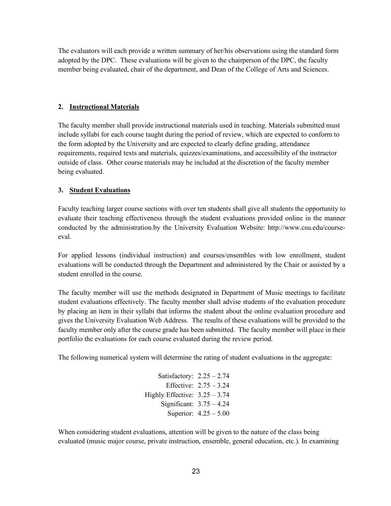The evaluators will each provide a written summary of her/his observations using the standard form adopted by the DPC. These evaluations will be given to the chairperson of the DPC, the faculty member being evaluated, chair of the department, and Dean of the College of Arts and Sciences.

# **2. Instructional Materials**

The faculty member shall provide instructional materials used in teaching. Materials submitted must include syllabi for each course taught during the period of review, which are expected to conform to the form adopted by the University and are expected to clearly define grading, attendance requirements, required texts and materials, quizzes/examinations, and accessibility of the instructor outside of class. Other course materials may be included at the discretion of the faculty member being evaluated.

# **3. Student Evaluations**

Faculty teaching larger course sections with over ten students shall give all students the opportunity to evaluate their teaching effectiveness through the student evaluations provided online in the manner conducted by the administration.by the University Evaluation Website: http://www.csu.edu/courseeval.

For applied lessons (individual instruction) and courses/ensembles with low enrollment, student evaluations will be conducted through the Department and administered by the Chair or assisted by a student enrolled in the course.

The faculty member will use the methods designated in Department of Music meetings to facilitate student evaluations effectively. The faculty member shall advise students of the evaluation procedure by placing an item in their syllabi that informs the student about the online evaluation procedure and gives the University Evaluation Web Address. The results of these evaluations will be provided to the faculty member only after the course grade has been submitted. The faculty member will place in their portfolio the evaluations for each course evaluated during the review period.

The following numerical system will determine the rating of student evaluations in the aggregate:

Satisfactory:  $2.25 - 2.74$ Effective: 2.75 – 3.24 Highly Effective:  $3.25 - 3.74$ Significant: 3.75 – 4.24 Superior: 4.25 – 5.00

When considering student evaluations, attention will be given to the nature of the class being evaluated (music major course, private instruction, ensemble, general education, etc.). In examining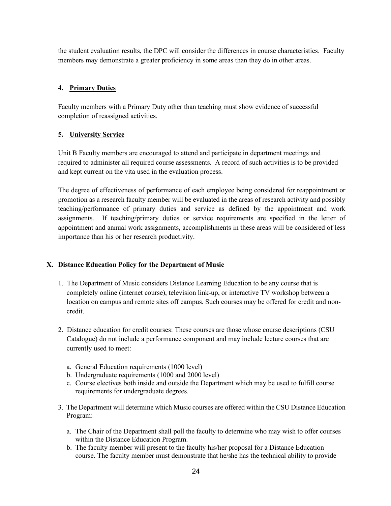the student evaluation results, the DPC will consider the differences in course characteristics. Faculty members may demonstrate a greater proficiency in some areas than they do in other areas.

# **4. Primary Duties**

Faculty members with a Primary Duty other than teaching must show evidence of successful completion of reassigned activities.

# **5. University Service**

Unit B Faculty members are encouraged to attend and participate in department meetings and required to administer all required course assessments. A record of such activities is to be provided and kept current on the vita used in the evaluation process.

The degree of effectiveness of performance of each employee being considered for reappointment or promotion as a research faculty member will be evaluated in the areas of research activity and possibly teaching/performance of primary duties and service as defined by the appointment and work assignments. If teaching/primary duties or service requirements are specified in the letter of appointment and annual work assignments, accomplishments in these areas will be considered of less importance than his or her research productivity.

# **X. Distance Education Policy for the Department of Music**

- 1. The Department of Music considers Distance Learning Education to be any course that is completely online (internet course), television link-up, or interactive TV workshop between a location on campus and remote sites off campus. Such courses may be offered for credit and noncredit.
- 2. Distance education for credit courses: These courses are those whose course descriptions (CSU Catalogue) do not include a performance component and may include lecture courses that are currently used to meet:
	- a. General Education requirements (1000 level)
	- b. Undergraduate requirements (1000 and 2000 level)
	- c. Course electives both inside and outside the Department which may be used to fulfill course requirements for undergraduate degrees.
- 3. The Department will determine which Music courses are offered within the CSU Distance Education Program:
	- a. The Chair of the Department shall poll the faculty to determine who may wish to offer courses within the Distance Education Program.
	- b. The faculty member will present to the faculty his/her proposal for a Distance Education course. The faculty member must demonstrate that he/she has the technical ability to provide